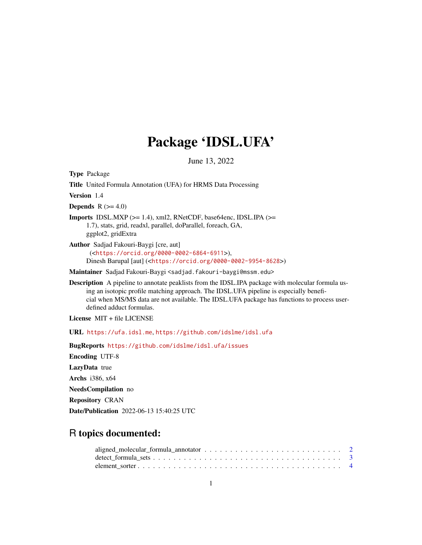## Package 'IDSL.UFA'

June 13, 2022

Type Package Title United Formula Annotation (UFA) for HRMS Data Processing Version 1.4 **Depends**  $R$  ( $>= 4.0$ ) **Imports** IDSL.MXP  $(>= 1.4)$ , xml2, RNetCDF, base64enc, IDSL.IPA  $(>= 1.4)$ 1.7), stats, grid, readxl, parallel, doParallel, foreach, GA, ggplot2, gridExtra Author Sadjad Fakouri-Baygi [cre, aut] (<<https://orcid.org/0000-0002-6864-6911>>), Dinesh Barupal [aut] (<<https://orcid.org/0000-0002-9954-8628>>) Maintainer Sadjad Fakouri-Baygi <sadjad.fakouri-baygi@mssm.edu> Description A pipeline to annotate peaklists from the IDSL.IPA package with molecular formula us-

ing an isotopic profile matching approach. The IDSL.UFA pipeline is especially beneficial when MS/MS data are not available. The IDSL.UFA package has functions to process userdefined adduct formulas.

License MIT + file LICENSE

URL <https://ufa.idsl.me>, <https://github.com/idslme/idsl.ufa>

BugReports <https://github.com/idslme/idsl.ufa/issues>

Encoding UTF-8

LazyData true

Archs i386, x64

NeedsCompilation no

Repository CRAN

Date/Publication 2022-06-13 15:40:25 UTC

## R topics documented: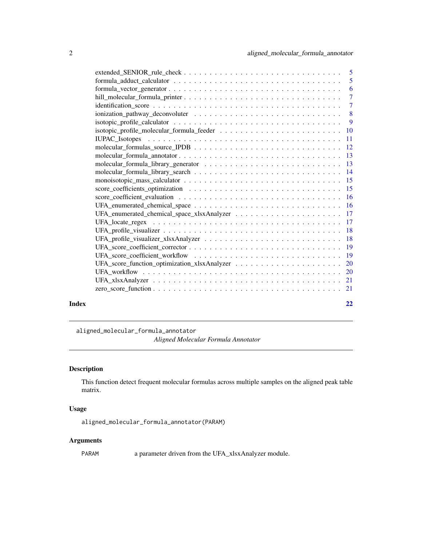<span id="page-1-0"></span>

| Index | 22 |
|-------|----|

aligned\_molecular\_formula\_annotator *Aligned Molecular Formula Annotator*

## Description

This function detect frequent molecular formulas across multiple samples on the aligned peak table matrix.

## Usage

aligned\_molecular\_formula\_annotator(PARAM)

## Arguments

PARAM a parameter driven from the UFA\_xlsxAnalyzer module.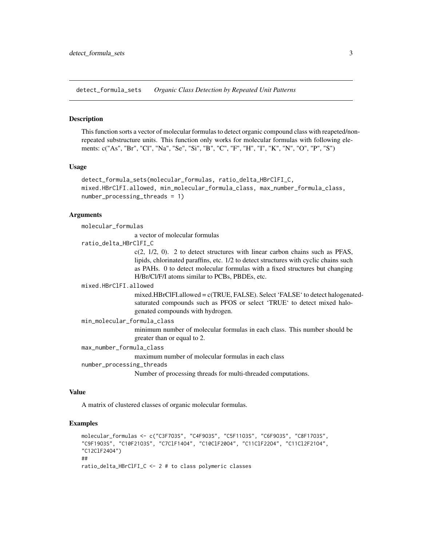<span id="page-2-0"></span>detect\_formula\_sets *Organic Class Detection by Repeated Unit Patterns*

#### Description

This function sorts a vector of molecular formulas to detect organic compound class with reapeted/nonrepeated substructure units. This function only works for molecular formulas with following elements: c("As", "Br", "Cl", "Na", "Se", "Si", "B", "C", "F", "H", "I", "K", "N", "O", "P", "S")

#### Usage

```
detect_formula_sets(molecular_formulas, ratio_delta_HBrClFI_C,
mixed.HBrClFI.allowed, min_molecular_formula_class, max_number_formula_class,
number_processing_threads = 1)
```
#### **Arguments**

molecular\_formulas

a vector of molecular formulas

ratio\_delta\_HBrClFI\_C

 $c(2, 1/2, 0)$ . 2 to detect structures with linear carbon chains such as PFAS, lipids, chlorinated paraffins, etc. 1/2 to detect structures with cyclic chains such as PAHs. 0 to detect molecular formulas with a fixed structures but changing H/Br/Cl/F/I atoms similar to PCBs, PBDEs, etc.

#### mixed.HBrClFI.allowed

mixed.HBrClFI.allowed = c(TRUE, FALSE). Select 'FALSE' to detect halogenatedsaturated compounds such as PFOS or select 'TRUE' to detect mixed halogenated compounds with hydrogen.

## min\_molecular\_formula\_class

minimum number of molecular formulas in each class. This number should be greater than or equal to 2.

max\_number\_formula\_class

maximum number of molecular formulas in each class

```
number_processing_threads
```
Number of processing threads for multi-threaded computations.

#### Value

A matrix of clustered classes of organic molecular formulas.

## Examples

```
molecular_formulas <- c("C3F7O3S", "C4F9O3S", "C5F11O3S", "C6F9O3S", "C8F17O3S",
"C9F19O3S", "C10F21O3S", "C7ClF14O4", "C10ClF20O4", "C11ClF22O4", "C11Cl2F21O4",
"C12ClF24O4")
##
ratio_delta_HBrClFI_C <- 2 # to class polymeric classes
```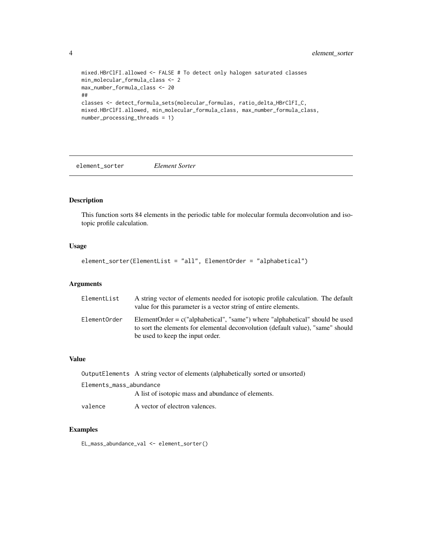```
mixed.HBrClFI.allowed <- FALSE # To detect only halogen saturated classes
min_molecular_formula_class <- 2
max_number_formula_class <- 20
##
classes <- detect_formula_sets(molecular_formulas, ratio_delta_HBrClFI_C,
mixed.HBrClFI.allowed, min_molecular_formula_class, max_number_formula_class,
number_processing_threads = 1)
```
element\_sorter *Element Sorter*

## Description

This function sorts 84 elements in the periodic table for molecular formula deconvolution and isotopic profile calculation.

## Usage

```
element_sorter(ElementList = "all", ElementOrder = "alphabetical")
```
## Arguments

| ElementList  | A string vector of elements needed for isotopic profile calculation. The default<br>value for this parameter is a vector string of entire elements.                                                   |
|--------------|-------------------------------------------------------------------------------------------------------------------------------------------------------------------------------------------------------|
| ElementOrder | ElementOrder = $c("alphabetical", "same")$ where "alphabetical" should be used<br>to sort the elements for elemental deconvolution (default value), "same" should<br>be used to keep the input order. |

## Value

|                         | OutputElements A string vector of elements (alphabetically sorted or unsorted) |
|-------------------------|--------------------------------------------------------------------------------|
| Elements_mass_abundance |                                                                                |
|                         | A list of isotopic mass and abundance of elements.                             |
| valence                 | A vector of electron valences.                                                 |

#### Examples

EL\_mass\_abundance\_val <- element\_sorter()

<span id="page-3-0"></span>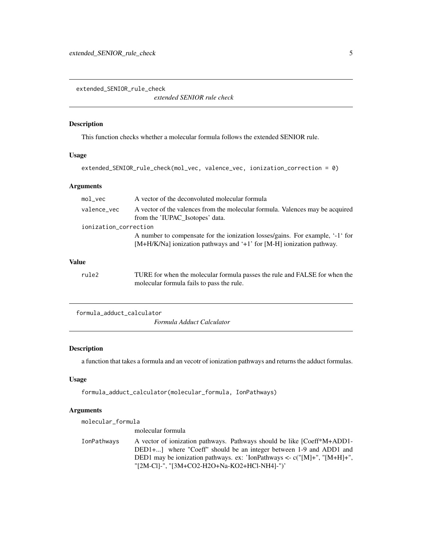<span id="page-4-0"></span>extended\_SENIOR\_rule\_check

*extended SENIOR rule check*

## Description

This function checks whether a molecular formula follows the extended SENIOR rule.

## Usage

```
extended_SENIOR_rule_check(mol_vec, valence_vec, ionization_correction = 0)
```
## Arguments

| $mol$ vec             | A vector of the deconvoluted molecular formula                                                                                                           |
|-----------------------|----------------------------------------------------------------------------------------------------------------------------------------------------------|
| valence_vec           | A vector of the valences from the molecular formula. Valences may be acquired<br>from the 'IUPAC_Isotopes' data.                                         |
| ionization_correction |                                                                                                                                                          |
|                       | A number to compensate for the ionization losses/gains. For example, '-1' for<br>$[M+H/K/Na]$ ionization pathways and '+1' for [M-H] ionization pathway. |
| <b>Value</b>          |                                                                                                                                                          |
| rule2                 | TURE for when the molecular formula passes the rule and FALSE for when the<br>molecular formula fails to pass the rule.                                  |

formula\_adduct\_calculator

*Formula Adduct Calculator*

## Description

a function that takes a formula and an vecotr of ionization pathways and returns the adduct formulas.

## Usage

```
formula_adduct_calculator(molecular_formula, IonPathways)
```
## Arguments

| molecular_formula |                                                                                                                                                                                                                                                                             |
|-------------------|-----------------------------------------------------------------------------------------------------------------------------------------------------------------------------------------------------------------------------------------------------------------------------|
|                   | molecular formula                                                                                                                                                                                                                                                           |
| IonPathways       | A vector of ionization pathways. Pathways should be like [Coeff*M+ADD1-<br>DED1+] where "Coeff" should be an integer between 1-9 and ADD1 and<br>DED1 may be ionization pathways. ex: 'lonPathways <- $c("[M]+", "[M+H]+",$<br>"[2M-CI]-", "[3M+CO2-H2O+Na-KO2+HCl-NH4]-")' |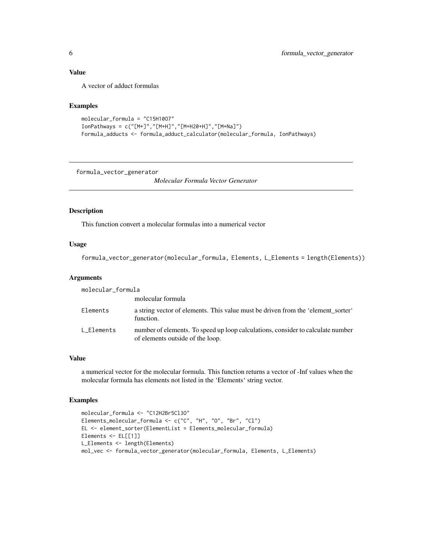## <span id="page-5-0"></span>Value

A vector of adduct formulas

## Examples

```
molecular_formula = "C15H10O7"
IonPathways = c("[M+]","[M+H]","[M+H20+H]","[M+Na]")
Formula_adducts <- formula_adduct_calculator(molecular_formula, IonPathways)
```
formula\_vector\_generator

*Molecular Formula Vector Generator*

#### Description

This function convert a molecular formulas into a numerical vector

#### Usage

```
formula_vector_generator(molecular_formula, Elements, L_Elements = length(Elements))
```
#### Arguments

| molecular_formula |                                                                                                                     |
|-------------------|---------------------------------------------------------------------------------------------------------------------|
|                   | molecular formula                                                                                                   |
| Elements          | a string vector of elements. This value must be driven from the 'element_sorter'<br>function.                       |
| L Elements        | number of elements. To speed up loop calculations, consider to calculate number<br>of elements outside of the loop. |

#### Value

a numerical vector for the molecular formula. This function returns a vector of -Inf values when the molecular formula has elements not listed in the 'Elements' string vector.

#### Examples

```
molecular_formula <- "C12H2Br5Cl3O"
Elements_molecular_formula <- c("C", "H", "O", "Br", "Cl")
EL <- element_sorter(ElementList = Elements_molecular_formula)
Elements <- EL[[1]]
L_Elements <- length(Elements)
mol_vec <- formula_vector_generator(molecular_formula, Elements, L_Elements)
```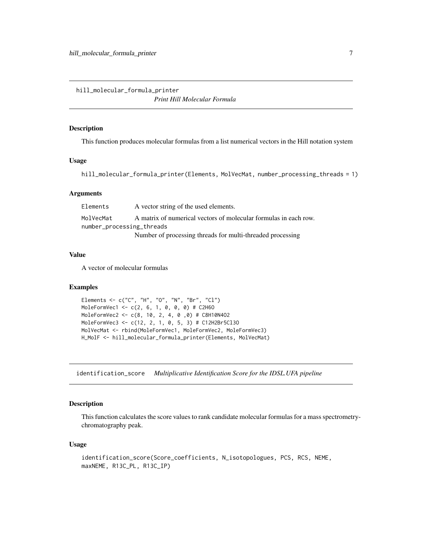<span id="page-6-0"></span>hill\_molecular\_formula\_printer

*Print Hill Molecular Formula*

## Description

This function produces molecular formulas from a list numerical vectors in the Hill notation system

#### Usage

hill\_molecular\_formula\_printer(Elements, MolVecMat, number\_processing\_threads = 1)

#### Arguments

| Elements  | A vector string of the used elements.                            |
|-----------|------------------------------------------------------------------|
| MolVecMat | A matrix of numerical vectors of molecular formulas in each row. |
|           | number_processing_threads                                        |
|           | Number of processing threads for multi-threaded processing       |

## Value

A vector of molecular formulas

## Examples

```
Elements <- c("C", "H", "O", "N", "Br", "Cl")
MoleFormVec1 <- c(2, 6, 1, 0, 0, 0) # C2H6O
MoleFormVec2 <- c(8, 10, 2, 4, 0 ,0) # C8H10N4O2
MoleFormVec3 <- c(12, 2, 1, 0, 5, 3) # C12H2Br5Cl3O
MolVecMat <- rbind(MoleFormVec1, MoleFormVec2, MoleFormVec3)
H_MolF <- hill_molecular_formula_printer(Elements, MolVecMat)
```
identification\_score *Multiplicative Identification Score for the IDSL.UFA pipeline*

## Description

This function calculates the score values to rank candidate molecular formulas for a mass spectrometrychromatography peak.

#### Usage

```
identification_score(Score_coefficients, N_isotopologues, PCS, RCS, NEME,
maxNEME, R13C_PL, R13C_IP)
```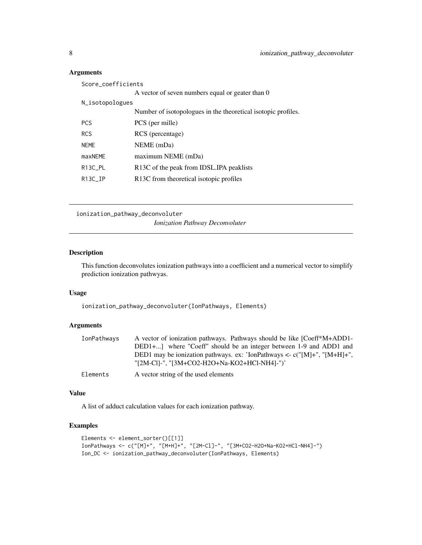## Arguments

| Score_coefficients   |                                                               |
|----------------------|---------------------------------------------------------------|
|                      | A vector of seven numbers equal or geater than 0              |
| N_isotopologues      |                                                               |
|                      | Number of isotopologues in the theoretical isotopic profiles. |
| <b>PCS</b>           | PCS (per mille)                                               |
| <b>RCS</b>           | RCS (percentage)                                              |
| <b>NEME</b>          | NEME (mDa)                                                    |
| maxNEME              | maximum NEME (mDa)                                            |
| R <sub>13C_PL</sub>  | R <sub>13</sub> C of the peak from IDSL. IPA peaklists        |
| R <sub>13</sub> C IP | R <sub>13</sub> C from theoretical isotopic profiles          |

```
ionization_pathway_deconvoluter
```
*Ionization Pathway Deconvoluter*

## Description

This function deconvolutes ionization pathways into a coefficient and a numerical vector to simplify prediction ionization pathwyas.

## Usage

ionization\_pathway\_deconvoluter(IonPathways, Elements)

## Arguments

| IonPathways | A vector of ionization pathways. Pathways should be like [Coeff*M+ADD1-                                                    |
|-------------|----------------------------------------------------------------------------------------------------------------------------|
|             | DED1+] where "Coeff" should be an integer between 1-9 and ADD1 and                                                         |
|             | DED1 may be ionization pathways. ex: 'IonPathways <- $c("[M]+", "[M+H]+",$<br>"[2M-CI]-", "[3M+CO2-H2O+Na-KO2+HCl-NH4]-")' |
| Elements    | A vector string of the used elements                                                                                       |

#### Value

A list of adduct calculation values for each ionization pathway.

## Examples

```
Elements <- element_sorter()[[1]]
IonPathways <- c("[M]+", "[M+H]+", "[2M-Cl]-", "[3M+CO2-H2O+Na-KO2+HCl-NH4]-")
Ion_DC <- ionization_pathway_deconvoluter(IonPathways, Elements)
```
<span id="page-7-0"></span>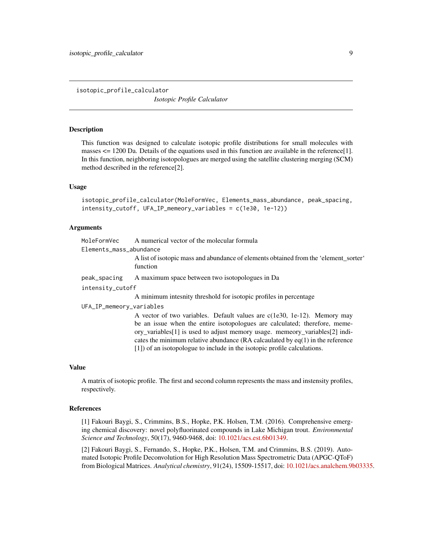<span id="page-8-0"></span>isotopic\_profile\_calculator

*Isotopic Profile Calculator*

#### **Description**

This function was designed to calculate isotopic profile distributions for small molecules with masses  $\leq$  1200 Da. Details of the equations used in this function are available in the reference[1]. In this function, neighboring isotopologues are merged using the satellite clustering merging (SCM) method described in the reference[2].

#### Usage

isotopic\_profile\_calculator(MoleFormVec, Elements\_mass\_abundance, peak\_spacing, intensity\_cutoff, UFA\_IP\_memeory\_variables = c(1e30, 1e-12))

#### Arguments

| MoleFormVec             | A numerical vector of the molecular formula                                          |
|-------------------------|--------------------------------------------------------------------------------------|
| Elements_mass_abundance |                                                                                      |
|                         | A list of isotopic mass and abundance of elements obtained from the 'element sorter' |
|                         | function                                                                             |

peak\_spacing A maximum space between two isotopologues in Da

intensity\_cutoff

A minimum intesnity threshold for isotopic profiles in percentage

UFA\_IP\_memeory\_variables

A vector of two variables. Default values are c(1e30, 1e-12). Memory may be an issue when the entire isotopologues are calculated; therefore, memeory\_variables[1] is used to adjust memory usage. memeory\_variables[2] indicates the minimum relative abundance (RA calcaulated by eq(1) in the reference [1]) of an isotopologue to include in the isotopic profile calculations.

## Value

A matrix of isotopic profile. The first and second column represents the mass and instensity profiles, respectively.

### References

[1] Fakouri Baygi, S., Crimmins, B.S., Hopke, P.K. Holsen, T.M. (2016). Comprehensive emerging chemical discovery: novel polyfluorinated compounds in Lake Michigan trout. *Environmental Science and Technology*, 50(17), 9460-9468, doi: [10.1021/acs.est.6b01349.](https://doi.org/10.1021/acs.est.6b01349)

[2] Fakouri Baygi, S., Fernando, S., Hopke, P.K., Holsen, T.M. and Crimmins, B.S. (2019). Automated Isotopic Profile Deconvolution for High Resolution Mass Spectrometric Data (APGC-QToF) from Biological Matrices. *Analytical chemistry*, 91(24), 15509-15517, doi: [10.1021/acs.analchem.9b03335.](https://doi.org/10.1021/acs.analchem.9b03335)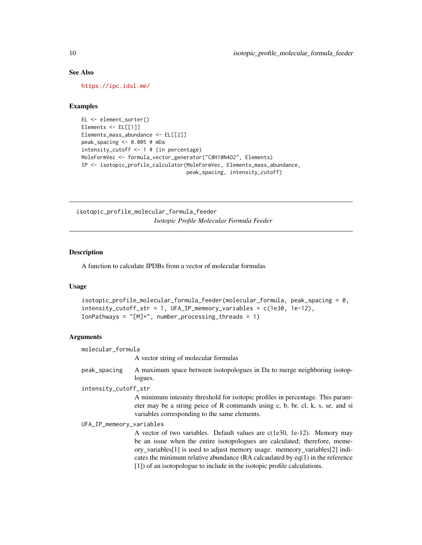## See Also

<https://ipc.idsl.me/>

## Examples

```
EL <- element_sorter()
Elements <- EL[[1]]
Elements_mass_abundance <- EL[[2]]
peak_spacing <- 0.005 # mDa
intensity_cutoff <- 1 # (in percentage)
MoleFormVec <- formula_vector_generator("C8H10N4O2", Elements)
IP <- isotopic_profile_calculator(MoleFormVec, Elements_mass_abundance,
                                  peak_spacing, intensity_cutoff)
```
isotopic\_profile\_molecular\_formula\_feeder *Isotopic Profile Molecular Formula Feeder*

#### Description

A function to calculate IPDBs from a vector of molecular formulas

#### Usage

```
isotopic_profile_molecular_formula_feeder(molecular_formula, peak_spacing = 0,
intensity_cutoff_str = 1, UFA_IP_memeory_variables = c(1e30, 1e-12),
IonPathways = "[M]+", number_processing_threads = 1)
```
#### Arguments

molecular\_formula

A vector string of molecular formulas

peak\_spacing A maximum space between isotopologues in Da to merge neighboring isotoplogues.

intensity\_cutoff\_str

A minimum intesnity threshold for isotopic profiles in percentage. This parameter may be a string peice of R commands using c, b, br, cl, k, s, se, and si variables corresponding to the same elements.

UFA\_IP\_memeory\_variables

A vector of two variables. Default values are c(1e30, 1e-12). Memory may be an issue when the entire isotopologues are calculated; therefore, memeory\_variables[1] is used to adjust memory usage. memeory\_variables[2] indicates the minimum relative abundance (RA calcaulated by eq(1) in the reference [1]) of an isotopologue to include in the isotopic profile calculations.

<span id="page-9-0"></span>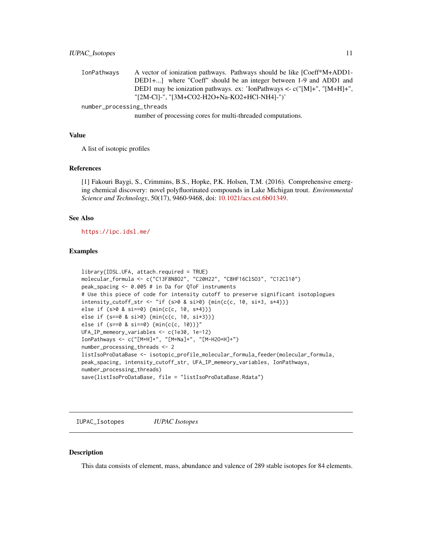<span id="page-10-0"></span>

| IonPathwavs | A vector of ionization pathways. Pathways should be like [Coeff*M+ADD1-    |
|-------------|----------------------------------------------------------------------------|
|             | DED1+] where "Coeff" should be an integer between 1-9 and ADD1 and         |
|             | DED1 may be ionization pathways. ex: 'IonPathways <- $c("[M]+", "[M+H]+",$ |
|             | "[2M-CI]-", "[3M+CO2-H2O+Na-KO2+HCl-NH4]-")'                               |
|             |                                                                            |

number\_processing\_threads

number of processing cores for multi-threaded computations.

#### Value

A list of isotopic profiles

#### References

[1] Fakouri Baygi, S., Crimmins, B.S., Hopke, P.K. Holsen, T.M. (2016). Comprehensive emerging chemical discovery: novel polyfluorinated compounds in Lake Michigan trout. *Environmental Science and Technology*, 50(17), 9460-9468, doi: [10.1021/acs.est.6b01349.](https://doi.org/10.1021/acs.est.6b01349)

#### See Also

<https://ipc.idsl.me/>

#### Examples

```
library(IDSL.UFA, attach.required = TRUE)
molecular_formula <- c("C13F8N8O2", "C20H22", "C8HF16ClSO3", "C12Cl10")
peak_spacing <- 0.005 # in Da for QToF instruments
# Use this piece of code for intensity cutoff to preserve significant isotoplogues
intensity_cutoff_str <- "if (s>0 & si>0) {min(c(c, 10, si*3, s*4))}
else if (s>0 & si==0) {min(c(c, 10, s*4))}
else if (s==0 & si>0) {min(c(c, 10, si*3))}
else if (s==0 & si==0) {min(c(c, 10))}"
UFA_IP_memeory_variables <- c(1e30, 1e-12)
IonPathways <- c("[M+H]+", "[M+Na]+", "[M-H2O+H]+")
number_processing_threads <- 2
listIsoProDataBase <- isotopic_profile_molecular_formula_feeder(molecular_formula,
peak_spacing, intensity_cutoff_str, UFA_IP_memeory_variables, IonPathways,
number_processing_threads)
save(listIsoProDataBase, file = "listIsoProDataBase.Rdata")
```
IUPAC\_Isotopes *IUPAC Isotopes*

## **Description**

This data consists of element, mass, abundance and valence of 289 stable isotopes for 84 elements.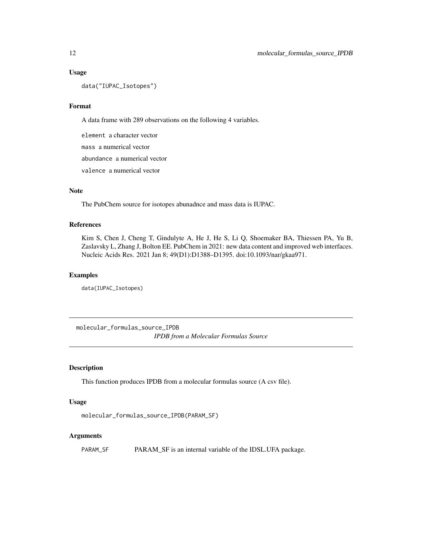#### Usage

data("IUPAC\_Isotopes")

## Format

A data frame with 289 observations on the following 4 variables.

element a character vector mass a numerical vector abundance a numerical vector valence a numerical vector

#### Note

The PubChem source for isotopes abunadnce and mass data is IUPAC.

#### References

Kim S, Chen J, Cheng T, Gindulyte A, He J, He S, Li Q, Shoemaker BA, Thiessen PA, Yu B, Zaslavsky L, Zhang J, Bolton EE. PubChem in 2021: new data content and improved web interfaces. Nucleic Acids Res. 2021 Jan 8; 49(D1):D1388–D1395. doi:10.1093/nar/gkaa971.

#### Examples

data(IUPAC\_Isotopes)

molecular\_formulas\_source\_IPDB *IPDB from a Molecular Formulas Source*

## Description

This function produces IPDB from a molecular formulas source (A csv file).

#### Usage

```
molecular_formulas_source_IPDB(PARAM_SF)
```
#### Arguments

PARAM\_SF PARAM\_SF is an internal variable of the IDSL.UFA package.

<span id="page-11-0"></span>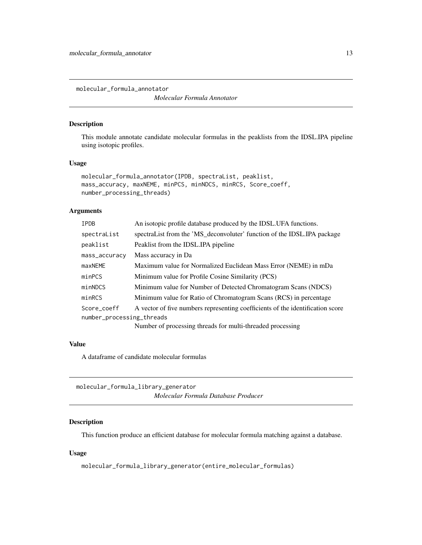<span id="page-12-0"></span>molecular\_formula\_annotator

*Molecular Formula Annotator*

## Description

This module annotate candidate molecular formulas in the peaklists from the IDSL.IPA pipeline using isotopic profiles.

#### Usage

```
molecular_formula_annotator(IPDB, spectraList, peaklist,
mass_accuracy, maxNEME, minPCS, minNDCS, minRCS, Score_coeff,
number_processing_threads)
```
#### Arguments

| <b>IPDB</b>               | An isotopic profile database produced by the IDSL. UFA functions.              |  |
|---------------------------|--------------------------------------------------------------------------------|--|
| spectraList               | spectraList from the 'MS_deconvoluter' function of the IDSL.IPA package        |  |
| peaklist                  | Peaklist from the IDSL.IPA pipeline                                            |  |
| mass_accuracy             | Mass accuracy in Da                                                            |  |
| maxNEME                   | Maximum value for Normalized Euclidean Mass Error (NEME) in mDa                |  |
| minPCS                    | Minimum value for Profile Cosine Similarity (PCS)                              |  |
| minNDCS                   | Minimum value for Number of Detected Chromatogram Scans (NDCS)                 |  |
| minRCS                    | Minimum value for Ratio of Chromatogram Scans (RCS) in percentage              |  |
| Score coeff               | A vector of five numbers representing coefficients of the identification score |  |
| number_processing_threads |                                                                                |  |
|                           | Number of processing threads for multi-threaded processing                     |  |

## Value

A dataframe of candidate molecular formulas

molecular\_formula\_library\_generator *Molecular Formula Database Producer*

## Description

This function produce an efficient database for molecular formula matching against a database.

## Usage

molecular\_formula\_library\_generator(entire\_molecular\_formulas)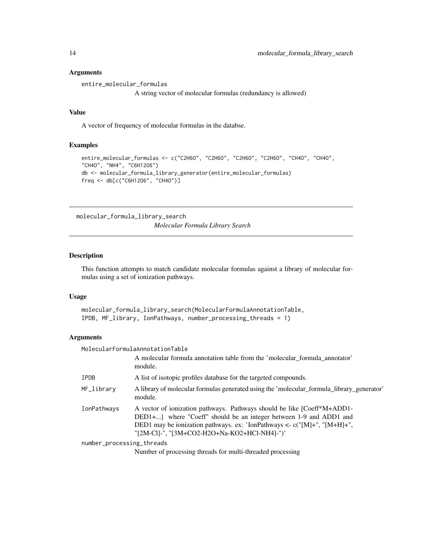#### Arguments

entire\_molecular\_formulas

A string vector of molecular formulas (redundancy is allowed)

#### Value

A vector of frequency of molecular formulas in the databse.

## Examples

```
entire_molecular_formulas <- c("C2H6O", "C2H6O", "C2H6O", "C2H6O", "CH4O", "CH4O",
"CH4O", "NH4", "C6H12O6")
db <- molecular_formula_library_generator(entire_molecular_formulas)
freq <- db[c("C6H12O6", "CH4O")]
```
molecular\_formula\_library\_search

*Molecular Formula Library Search*

#### Description

This function attempts to match candidate molecular formulas against a library of molecular formulas using a set of ionization pathways.

#### Usage

```
molecular_formula_library_search(MolecularFormulaAnnotationTable,
IPDB, MF_library, IonPathways, number_processing_threads = 1)
```
#### Arguments

| MolecularFormulaAnnotationTable |                                                                                                                                                                                                                                                                             |  |
|---------------------------------|-----------------------------------------------------------------------------------------------------------------------------------------------------------------------------------------------------------------------------------------------------------------------------|--|
|                                 | A molecular formula annotation table from the 'molecular_formula_annotator'<br>module.                                                                                                                                                                                      |  |
| IPDB                            | A list of isotopic profiles database for the targeted compounds.                                                                                                                                                                                                            |  |
| MF_library                      | A library of molecular formulas generated using the 'molecular_formula_library_generator'<br>module.                                                                                                                                                                        |  |
| IonPathways                     | A vector of ionization pathways. Pathways should be like [Coeff*M+ADD1-<br>DED1+] where "Coeff" should be an integer between 1-9 and ADD1 and<br>DED1 may be ionization pathways. ex: 'IonPathways <- $c("[M]+", "[M+H]+",$<br>"[2M-CI]-", "[3M+CO2-H2O+Na-KO2+HCl-NH4]-")' |  |
| number_processing_threads       |                                                                                                                                                                                                                                                                             |  |
|                                 | Number of processing threads for multi-threaded processing                                                                                                                                                                                                                  |  |

<span id="page-13-0"></span>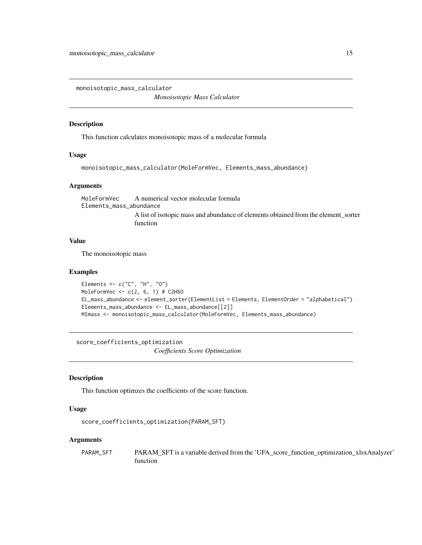<span id="page-14-0"></span>monoisotopic\_mass\_calculator

*Monoisotopic Mass Calculator*

## Description

This function calculates monoisotopic mass of a molecular formula

## Usage

```
monoisotopic_mass_calculator(MoleFormVec, Elements_mass_abundance)
```
## Arguments

MoleFormVec A numerical vector molecular formula Elements\_mass\_abundance A list of isotopic mass and abundance of elements obtained from the element\_sorter function

#### Value

The monoisotopic mass

#### Examples

```
Elements <- c("C", "H", "O")
MoleFormVec <- c(2, 6, 1) # C2H6O
EL_mass_abundance <- element_sorter(ElementList = Elements, ElementOrder = "alphabetical")
Elements_mass_abundance <- EL_mass_abundance[[2]]
MImass <- monoisotopic_mass_calculator(MoleFormVec, Elements_mass_abundance)
```
score\_coefficients\_optimization *Coefficients Score Optimization*

## Description

This function optimzes the coefficients of the score function.

### Usage

```
score_coefficients_optimization(PARAM_SFT)
```
#### Arguments

PARAM\_SFT PARAM\_SFT is a variable derived from the 'UFA\_score\_function\_optimization\_xlsxAnalyzer' function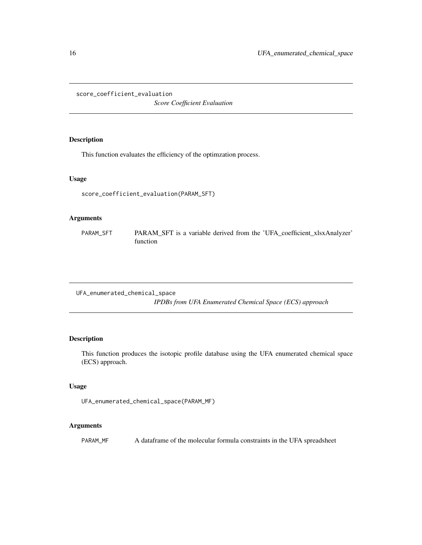<span id="page-15-0"></span>score\_coefficient\_evaluation

*Score Coefficient Evaluation*

## Description

This function evaluates the efficiency of the optimzation process.

## Usage

score\_coefficient\_evaluation(PARAM\_SFT)

#### Arguments

PARAM\_SFT PARAM\_SFT is a variable derived from the 'UFA\_coefficient\_xlsxAnalyzer' function

UFA\_enumerated\_chemical\_space *IPDBs from UFA Enumerated Chemical Space (ECS) approach*

## Description

This function produces the isotopic profile database using the UFA enumerated chemical space (ECS) approach.

## Usage

```
UFA_enumerated_chemical_space(PARAM_MF)
```
## Arguments

PARAM\_MF A dataframe of the molecular formula constraints in the UFA spreadsheet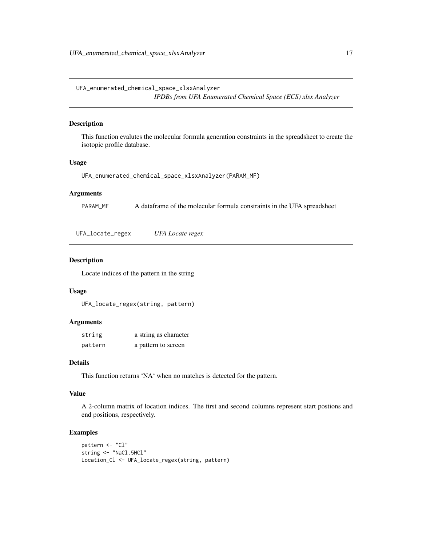<span id="page-16-0"></span>UFA\_enumerated\_chemical\_space\_xlsxAnalyzer *IPDBs from UFA Enumerated Chemical Space (ECS) xlsx Analyzer*

#### Description

This function evalutes the molecular formula generation constraints in the spreadsheet to create the isotopic profile database.

#### Usage

```
UFA_enumerated_chemical_space_xlsxAnalyzer(PARAM_MF)
```
## Arguments

PARAM\_MF A dataframe of the molecular formula constraints in the UFA spreadsheet

UFA\_locate\_regex *UFA Locate regex*

## Description

Locate indices of the pattern in the string

## Usage

UFA\_locate\_regex(string, pattern)

## Arguments

| string  | a string as character |
|---------|-----------------------|
| pattern | a pattern to screen   |

## Details

This function returns 'NA' when no matches is detected for the pattern.

## Value

A 2-column matrix of location indices. The first and second columns represent start postions and end positions, respectively.

#### Examples

```
pattern <- "Cl"
string <- "NaCl.5HCl"
Location_Cl <- UFA_locate_regex(string, pattern)
```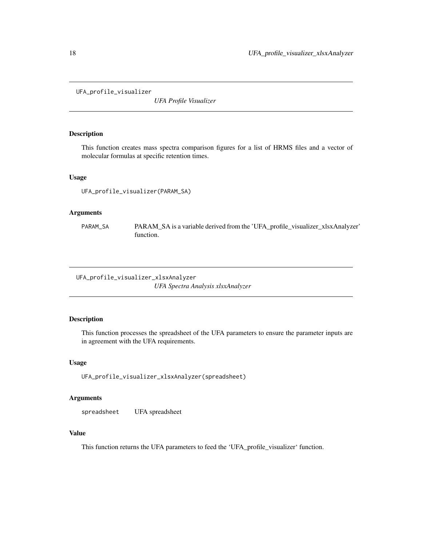<span id="page-17-0"></span>UFA\_profile\_visualizer

*UFA Profile Visualizer*

#### Description

This function creates mass spectra comparison figures for a list of HRMS files and a vector of molecular formulas at specific retention times.

## Usage

UFA\_profile\_visualizer(PARAM\_SA)

#### Arguments

PARAM\_SA PARAM\_SA is a variable derived from the 'UFA\_profile\_visualizer\_xlsxAnalyzer' function.

UFA\_profile\_visualizer\_xlsxAnalyzer *UFA Spectra Analysis xlsxAnalyzer*

#### Description

This function processes the spreadsheet of the UFA parameters to ensure the parameter inputs are in agreement with the UFA requirements.

## Usage

```
UFA_profile_visualizer_xlsxAnalyzer(spreadsheet)
```
## Arguments

spreadsheet UFA spreadsheet

## Value

This function returns the UFA parameters to feed the 'UFA\_profile\_visualizer' function.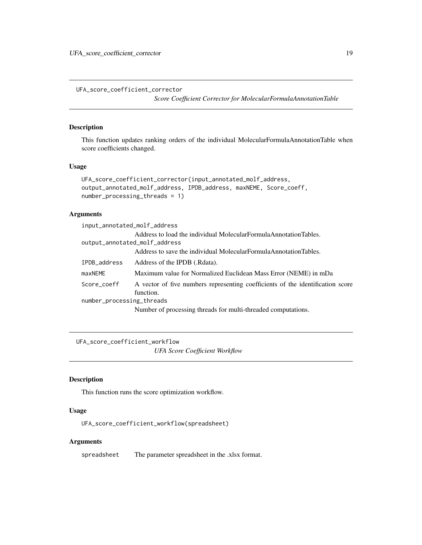<span id="page-18-0"></span>UFA\_score\_coefficient\_corrector

*Score Coefficient Corrector for MolecularFormulaAnnotationTable*

### Description

This function updates ranking orders of the individual MolecularFormulaAnnotationTable when score coefficients changed.

## Usage

```
UFA_score_coefficient_corrector(input_annotated_molf_address,
output_annotated_molf_address, IPDB_address, maxNEME, Score_coeff,
number_processing_threads = 1)
```
## Arguments

| input_annotated_molf_address  |                                                                                             |
|-------------------------------|---------------------------------------------------------------------------------------------|
|                               | Address to load the individual MolecularFormulaAnnotationTables.                            |
| output_annotated_molf_address |                                                                                             |
|                               | Address to save the individual MolecularFormulaAnnotationTables.                            |
| IPDB_address                  | Address of the IPDB (.Rdata).                                                               |
| maxNEME                       | Maximum value for Normalized Euclidean Mass Error (NEME) in mDa                             |
| Score_coeff                   | A vector of five numbers representing coefficients of the identification score<br>function. |
| number_processing_threads     |                                                                                             |
|                               | Number of processing threads for multi-threaded computations.                               |

UFA\_score\_coefficient\_workflow *UFA Score Coefficient Workflow*

## Description

This function runs the score optimization workflow.

## Usage

UFA\_score\_coefficient\_workflow(spreadsheet)

#### Arguments

spreadsheet The parameter spreadsheet in the .xlsx format.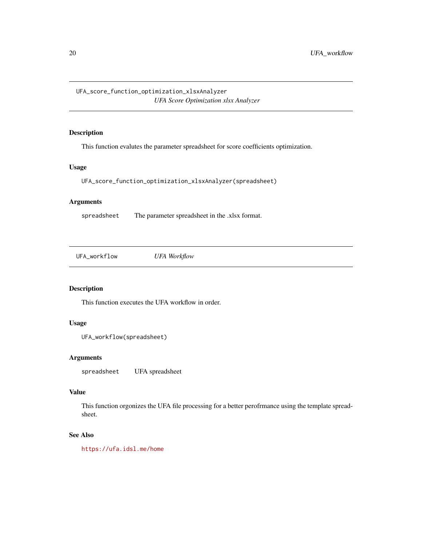<span id="page-19-0"></span>UFA\_score\_function\_optimization\_xlsxAnalyzer *UFA Score Optimization xlsx Analyzer*

## Description

This function evalutes the parameter spreadsheet for score coefficients optimization.

## Usage

UFA\_score\_function\_optimization\_xlsxAnalyzer(spreadsheet)

## Arguments

spreadsheet The parameter spreadsheet in the .xlsx format.

UFA\_workflow *UFA Workflow*

## Description

This function executes the UFA workflow in order.

## Usage

```
UFA_workflow(spreadsheet)
```
## Arguments

spreadsheet UFA spreadsheet

### Value

This function orgonizes the UFA file processing for a better perofrmance using the template spreadsheet.

## See Also

<https://ufa.idsl.me/home>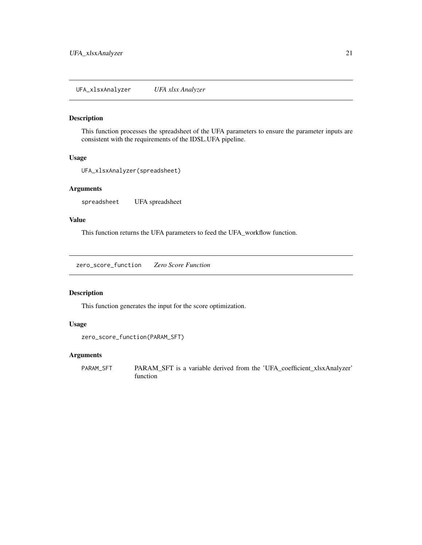## <span id="page-20-0"></span>Description

This function processes the spreadsheet of the UFA parameters to ensure the parameter inputs are consistent with the requirements of the IDSL.UFA pipeline.

#### Usage

```
UFA_xlsxAnalyzer(spreadsheet)
```
## Arguments

spreadsheet UFA spreadsheet

## Value

This function returns the UFA parameters to feed the UFA\_workflow function.

zero\_score\_function *Zero Score Function*

## Description

This function generates the input for the score optimization.

#### Usage

```
zero_score_function(PARAM_SFT)
```
#### Arguments

PARAM\_SFT PARAM\_SFT is a variable derived from the 'UFA\_coefficient\_xlsxAnalyzer' function